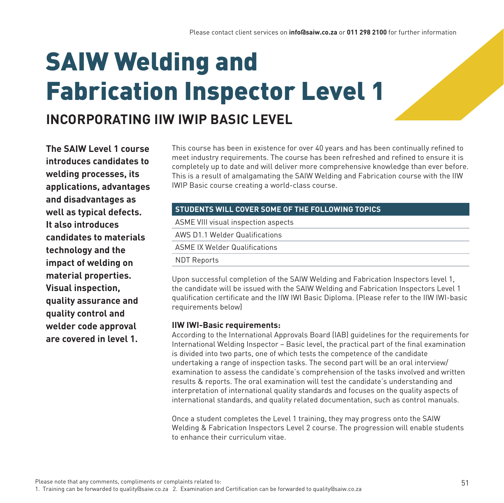# SAIW Welding and Fabrication Inspector Level 1

## **INCORPORATING IIW IWIP BASIC LEVEL**

**The SAIW Level 1 course introduces candidates to welding processes, its applications, advantages and disadvantages as well as typical defects. It also introduces candidates to materials technology and the impact of welding on material properties. Visual inspection, quality assurance and quality control and welder code approval are covered in level 1.**

This course has been in existence for over 40 years and has been continually refined to meet industry requirements. The course has been refreshed and refined to ensure it is completely up to date and will deliver more comprehensive knowledge than ever before. This is a result of amalgamating the SAIW Welding and Fabrication course with the IIW IWIP Basic course creating a world-class course.

#### **STUDENTS WILL COVER SOME OF THE FOLLOWING TOPICS**

ASME VIII visual inspection aspects AWS D1.1 Welder Qualifications ASME IX Welder Qualifications NDT Reports

Upon successful completion of the SAIW Welding and Fabrication Inspectors level 1, the candidate will be issued with the SAIW Welding and Fabrication Inspectors Level 1 qualification certificate and the IIW IWI Basic Diploma. (Please refer to the IIW IWI-basic requirements below)

#### **IIW IWI-Basic requirements:**

According to the International Approvals Board (IAB) guidelines for the requirements for International Welding Inspector – Basic level, the practical part of the final examination is divided into two parts, one of which tests the competence of the candidate undertaking a range of inspection tasks. The second part will be an oral interview/ examination to assess the candidate's comprehension of the tasks involved and written results & reports. The oral examination will test the candidate's understanding and interpretation of international quality standards and focuses on the quality aspects of international standards, and quality related documentation, such as control manuals.

Once a student completes the Level 1 training, they may progress onto the SAIW Welding & Fabrication Inspectors Level 2 course. The progression will enable students to enhance their curriculum vitae.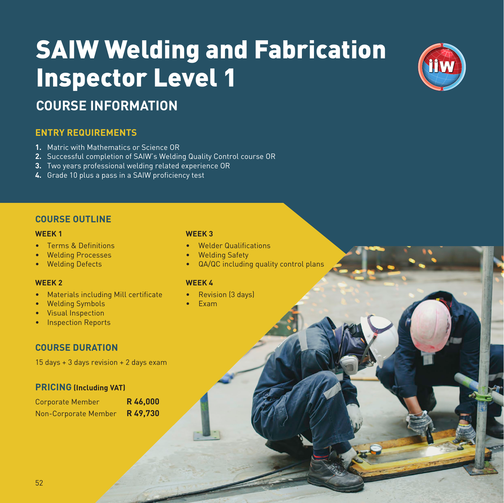# SAIW Welding and Fabrication Inspector Level 1



## **COURSE INFORMATION**

### **ENTRY REQUIREMENTS**

- **1.** Matric with Mathematics or Science OR
- **2.** Successful completion of SAIW's Welding Quality Control course OR
- **3.** Two years professional welding related experience OR
- **4.** Grade 10 plus a pass in a SAIW proficiency test

#### **COURSE OUTLINE**

#### **WEEK 1 WEEK 3**

- Terms & Definitions Welder Qualifications
- Welding Processes Welding Safety
- 

#### **WEEK 2 WEEK 4**

- Materials including Mill certificate Revision [3 days]
- Welding Symbols Exam
- Visual Inspection
- Inspection Reports

### **COURSE DURATION**

15 days + 3 days revision + 2 days exam

#### **PRICING (Including VAT)**

| <b>Corporate Member</b> | R46,000 |
|-------------------------|---------|
| Non-Corporate Member    | R49,730 |

- 
- 
- Welding Defects QA/QC including quality control plans

- 
-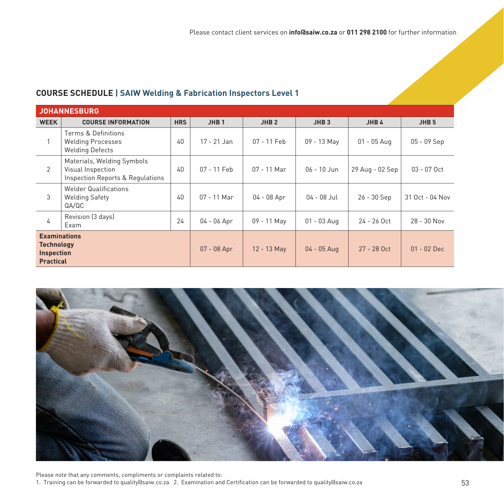#### **COURSE SCHEDULE | SAIW Welding & Fabrication Inspectors Level 1**

| <b>JOHANNESBURG</b>                                                               |                                                                                     |            |                  |                  |                  |                 |                  |
|-----------------------------------------------------------------------------------|-------------------------------------------------------------------------------------|------------|------------------|------------------|------------------|-----------------|------------------|
| <b>WEEK</b>                                                                       | <b>COURSE INFORMATION</b>                                                           | <b>HRS</b> | JHB <sub>1</sub> | JHB <sub>2</sub> | JHB <sub>3</sub> | JHB4            | JHB <sub>5</sub> |
|                                                                                   | Terms & Definitions<br><b>Welding Processes</b><br><b>Welding Defects</b>           | 40         | $17 - 21$ Jan    | 07 - 11 Feb      | 09 - 13 May      | $01 - 05$ Aug   | 05 - 09 Sep      |
| $\overline{2}$                                                                    | Materials, Welding Symbols<br>Visual Inspection<br>Inspection Reports & Regulations | 40         | 07 - 11 Feb      | $07 - 11$ Mar    | 06 - 10 Jun      | 29 Aug - 02 Sep | 03 - 07 Oct      |
| 3                                                                                 | <b>Welder Qualifications</b><br><b>Welding Safety</b><br>QA/QC                      | 40         | $07 - 11$ Mar    | $04 - 08$ Apr    | $04 - 08$ Jul    | 26 - 30 Sep     | 31 Oct - 04 Nov  |
| 4                                                                                 | Revision (3 days)<br>Exam                                                           | 24         | $04 - 06$ Apr    | 09 - 11 May      | $01 - 03$ Aug    | 24 - 26 Oct     | 28 - 30 Nov      |
| <b>Examinations</b><br><b>Technology</b><br><b>Inspection</b><br><b>Practical</b> |                                                                                     |            | 07 - 08 Apr      | 12 - 13 May      | $04 - 05$ Aug    | 27 - 28 Oct     | $01 - 02$ Dec    |



Please note that any comments, compliments or complaints related to: 1. Training can be forwarded to quality@saiw.co.za 2. Examination and Certification can be forwarded to quality@saiw.co.za 53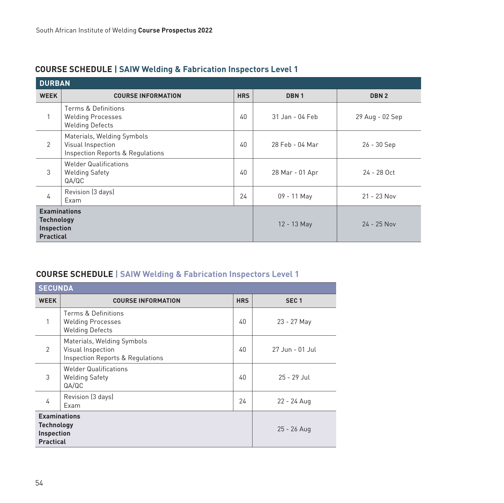| <b>DURBAN</b>                                                              |                                                                                     |             |                  |                  |  |
|----------------------------------------------------------------------------|-------------------------------------------------------------------------------------|-------------|------------------|------------------|--|
| <b>WEEK</b>                                                                | <b>COURSE INFORMATION</b>                                                           | <b>HRS</b>  | DBN <sub>1</sub> | DBN <sub>2</sub> |  |
|                                                                            | Terms & Definitions<br><b>Welding Processes</b><br><b>Welding Defects</b>           | 40          | 31 Jan - 04 Feb  | 29 Aug - 02 Sep  |  |
| 2                                                                          | Materials, Welding Symbols<br>Visual Inspection<br>Inspection Reports & Regulations | 40          | 28 Feb - 04 Mar  | $26 - 30$ Sep    |  |
| 3                                                                          | <b>Welder Qualifications</b><br><b>Welding Safety</b><br>QA/QC                      | 40          | 28 Mar - 01 Apr  | 24 - 28 Oct      |  |
| 4                                                                          | Revision (3 days)<br>Exam                                                           | 24          | 09 - 11 May      | $21 - 23$ Nov    |  |
| <b>Examinations</b><br><b>Technology</b><br>Inspection<br><b>Practical</b> |                                                                                     | 12 - 13 May | $24 - 25$ Nov    |                  |  |

### **COURSE SCHEDULE | SAIW Welding & Fabrication Inspectors Level 1**

### **COURSE SCHEDULE | SAIW Welding & Fabrication Inspectors Level 1**

| <b>SECUNDA</b>                                                             |                                                                                     |             |                  |  |  |  |
|----------------------------------------------------------------------------|-------------------------------------------------------------------------------------|-------------|------------------|--|--|--|
| <b>WEEK</b>                                                                | <b>COURSE INFORMATION</b>                                                           | <b>HRS</b>  | SEC <sub>1</sub> |  |  |  |
| 1                                                                          | Terms & Definitions<br><b>Welding Processes</b><br><b>Welding Defects</b>           | 40          | 23 - 27 May      |  |  |  |
| $\overline{2}$                                                             | Materials, Welding Symbols<br>Visual Inspection<br>Inspection Reports & Regulations | 40          | 27 Jun - 01 Jul  |  |  |  |
| 3                                                                          | <b>Welder Qualifications</b><br><b>Welding Safety</b><br>QA/QC                      | 40          | $25 - 29$ Jul    |  |  |  |
| 4                                                                          | Revision (3 days)<br>Exam                                                           | 22 - 24 Aug |                  |  |  |  |
| <b>Examinations</b><br><b>Technology</b><br>Inspection<br><b>Practical</b> |                                                                                     | 25 - 26 Aug |                  |  |  |  |